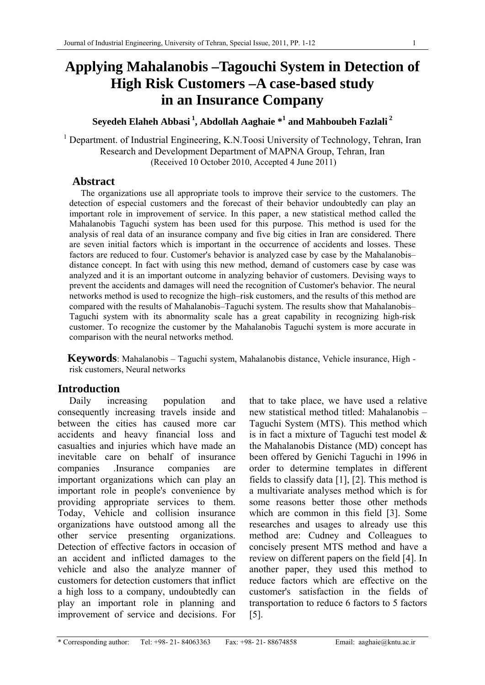# **Applying Mahalanobis –Tagouchi System in Detection of High Risk Customers –A case-based study in an Insurance Company**

# **Seyedeh Elaheh Abbasi 1, Abdollah Aaghaie \*1 and Mahboubeh Fazlali<sup>2</sup>**

<sup>1</sup> Department. of Industrial Engineering, K.N.Toosi University of Technology, Tehran, Iran Research and Development Department of MAPNA Group, Tehran, Iran (Received 10 October 2010, Accepted 4 June 2011)

# **Abstract**

The organizations use all appropriate tools to improve their service to the customers. The detection of especial customers and the forecast of their behavior undoubtedly can play an important role in improvement of service. In this paper, a new statistical method called the Mahalanobis Taguchi system has been used for this purpose. This method is used for the analysis of real data of an insurance company and five big cities in Iran are considered. There are seven initial factors which is important in the occurrence of accidents and losses. These factors are reduced to four. Customer's behavior is analyzed case by case by the Mahalanobis– distance concept. In fact with using this new method, demand of customers case by case was analyzed and it is an important outcome in analyzing behavior of customers. Devising ways to prevent the accidents and damages will need the recognition of Customer's behavior. The neural networks method is used to recognize the high–risk customers, and the results of this method are compared with the results of Mahalanobis–Taguchi system. The results show that Mahalanobis– Taguchi system with its abnormality scale has a great capability in recognizing high-risk customer. To recognize the customer by the Mahalanobis Taguchi system is more accurate in comparison with the neural networks method.

**Keywords**: Mahalanobis – Taguchi system, Mahalanobis distance, Vehicle insurance, High risk customers, Neural networks

# **Introduction**

Daily increasing population and consequently increasing travels inside and between the cities has caused more car accidents and heavy financial loss and casualties and injuries which have made an inevitable care on behalf of insurance companies .Insurance companies are important organizations which can play an important role in people's convenience by providing appropriate services to them. Today, Vehicle and collision insurance organizations have outstood among all the other service presenting organizations. Detection of effective factors in occasion of an accident and inflicted damages to the vehicle and also the analyze manner of customers for detection customers that inflict a high loss to a company, undoubtedly can play an important role in planning and improvement of service and decisions. For that to take place, we have used a relative new statistical method titled: Mahalanobis – Taguchi System (MTS). This method which is in fact a mixture of Taguchi test model & the Mahalanobis Distance (MD) concept has been offered by Genichi Taguchi in 1996 in order to determine templates in different fields to classify data [1], [2]. This method is a multivariate analyses method which is for some reasons better those other methods which are common in this field [3]. Some researches and usages to already use this method are: Cudney and Colleagues to concisely present MTS method and have a review on different papers on the field [4]. In another paper, they used this method to reduce factors which are effective on the customer's satisfaction in the fields of transportation to reduce 6 factors to 5 factors [5].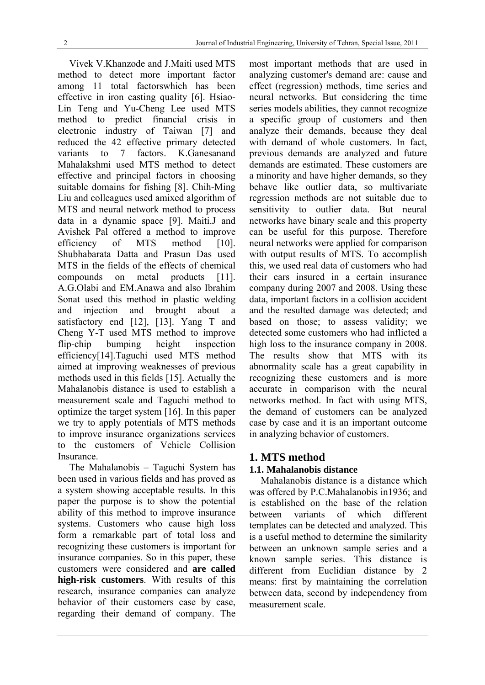Vivek V.Khanzode and J.Maiti used MTS method to detect more important factor among 11 total factorswhich has been effective in iron casting quality [6]. Hsiao-Lin Teng and Yu-Cheng Lee used MTS method to predict financial crisis in electronic industry of Taiwan [7] and reduced the 42 effective primary detected variants to 7 factors. K.Ganesanand Mahalakshmi used MTS method to detect effective and principal factors in choosing suitable domains for fishing [8]. Chih-Ming Liu and colleagues used amixed algorithm of MTS and neural network method to process data in a dynamic space [9]. Maiti.J and Avishek Pal offered a method to improve efficiency of MTS method [10]. Shubhabarata Datta and Prasun Das used MTS in the fields of the effects of chemical compounds on metal products [11]. A.G.Olabi and EM.Anawa and also Ibrahim Sonat used this method in plastic welding and injection and brought about a satisfactory end [12], [13]. Yang T and Cheng Y-T used MTS method to improve flip-chip bumping height inspection efficiency[14].Taguchi used MTS method aimed at improving weaknesses of previous methods used in this fields [15]. Actually the Mahalanobis distance is used to establish a measurement scale and Taguchi method to optimize the target system [16]. In this paper we try to apply potentials of MTS methods to improve insurance organizations services to the customers of Vehicle Collision **Insurance** 

The Mahalanobis – Taguchi System has been used in various fields and has proved as a system showing acceptable results. In this paper the purpose is to show the potential ability of this method to improve insurance systems. Customers who cause high loss form a remarkable part of total loss and recognizing these customers is important for insurance companies. So in this paper, these customers were considered and **are called high-risk customers**. With results of this research, insurance companies can analyze behavior of their customers case by case, regarding their demand of company. The most important methods that are used in analyzing customer's demand are: cause and effect (regression) methods, time series and neural networks. But considering the time series models abilities, they cannot recognize a specific group of customers and then analyze their demands, because they deal with demand of whole customers. In fact, previous demands are analyzed and future demands are estimated. These customers are a minority and have higher demands, so they behave like outlier data, so multivariate regression methods are not suitable due to sensitivity to outlier data. But neural networks have binary scale and this property can be useful for this purpose. Therefore neural networks were applied for comparison with output results of MTS. To accomplish this, we used real data of customers who had their cars insured in a certain insurance company during 2007 and 2008. Using these data, important factors in a collision accident and the resulted damage was detected; and based on those; to assess validity; we detected some customers who had inflicted a high loss to the insurance company in 2008. The results show that MTS with its abnormality scale has a great capability in recognizing these customers and is more accurate in comparison with the neural networks method. In fact with using MTS, the demand of customers can be analyzed case by case and it is an important outcome in analyzing behavior of customers.

### **1. MTS method 1.1. Mahalanobis distance**

Mahalanobis distance is a distance which was offered by P.C.Mahalanobis in1936; and is established on the base of the relation between variants of which different templates can be detected and analyzed. This is a useful method to determine the similarity between an unknown sample series and a known sample series. This distance is different from Euclidian distance by 2 means: first by maintaining the correlation between data, second by independency from measurement scale.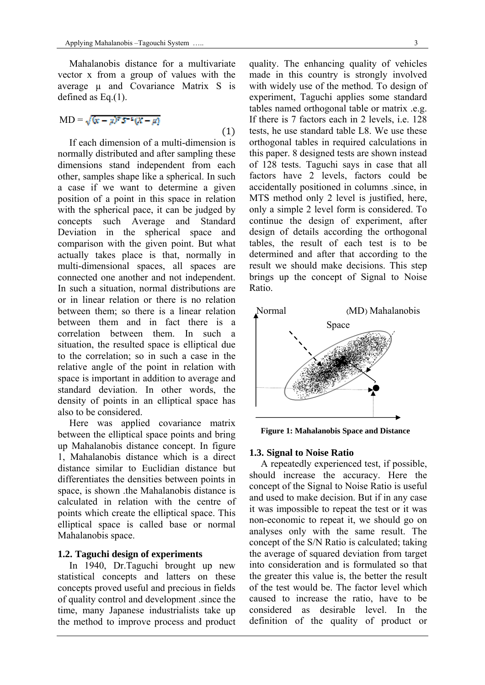Mahalanobis distance for a multivariate vector x from a group of values with the average u and Covariance Matrix S is defined as Eq.(1).

$$
MD = \sqrt{(x - \mu)^2 S^{-1} (X - \mu)}
$$
\n(1)

If each dimension of a multi-dimension is normally distributed and after sampling these dimensions stand independent from each other, samples shape like a spherical. In such a case if we want to determine a given position of a point in this space in relation with the spherical pace, it can be judged by concepts such Average and Standard Deviation in the spherical space and comparison with the given point. But what actually takes place is that, normally in multi-dimensional spaces, all spaces are connected one another and not independent. In such a situation, normal distributions are or in linear relation or there is no relation between them; so there is a linear relation between them and in fact there is a correlation between them. In such a situation, the resulted space is elliptical due to the correlation; so in such a case in the relative angle of the point in relation with space is important in addition to average and standard deviation. In other words, the density of points in an elliptical space has also to be considered.

Here was applied covariance matrix between the elliptical space points and bring up Mahalanobis distance concept. In figure 1, Mahalanobis distance which is a direct distance similar to Euclidian distance but differentiates the densities between points in space, is shown .the Mahalanobis distance is calculated in relation with the centre of points which create the elliptical space. This elliptical space is called base or normal Mahalanobis space.

#### **1.2. Taguchi design of experiments**

In 1940, Dr.Taguchi brought up new statistical concepts and latters on these concepts proved useful and precious in fields of quality control and development .since the time, many Japanese industrialists take up the method to improve process and product quality. The enhancing quality of vehicles made in this country is strongly involved with widely use of the method. To design of experiment, Taguchi applies some standard tables named orthogonal table or matrix .e.g. If there is 7 factors each in 2 levels, i.e. 128 tests, he use standard table L8. We use these orthogonal tables in required calculations in this paper. 8 designed tests are shown instead of 128 tests. Taguchi says in case that all factors have 2 levels, factors could be accidentally positioned in columns .since, in MTS method only 2 level is justified, here, only a simple 2 level form is considered. To continue the design of experiment, after design of details according the orthogonal tables, the result of each test is to be determined and after that according to the result we should make decisions. This step brings up the concept of Signal to Noise Ratio.



**Figure 1: Mahalanobis Space and Distance** 

#### **1.3. Signal to Noise Ratio**

A repeatedly experienced test, if possible, should increase the accuracy. Here the concept of the Signal to Noise Ratio is useful and used to make decision. But if in any case it was impossible to repeat the test or it was non-economic to repeat it, we should go on analyses only with the same result. The concept of the S/N Ratio is calculated; taking the average of squared deviation from target into consideration and is formulated so that the greater this value is, the better the result of the test would be. The factor level which caused to increase the ratio, have to be considered as desirable level. In the definition of the quality of product or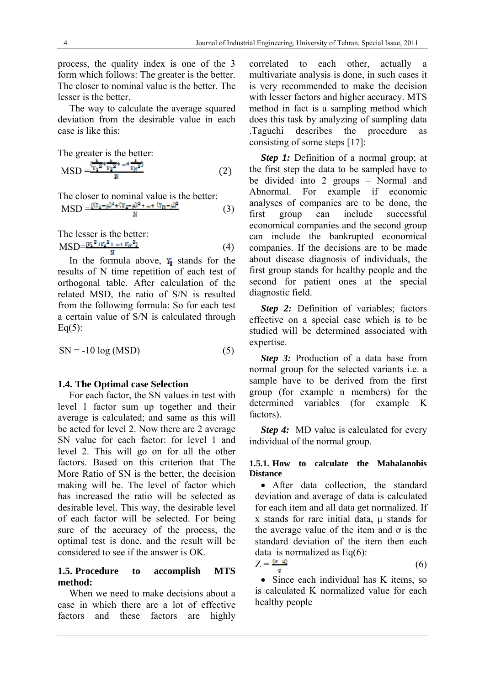process, the quality index is one of the 3 form which follows: The greater is the better. The closer to nominal value is the better. The lesser is the better.

The way to calculate the average squared deviation from the desirable value in each case is like this:

The greater is the better:

$$
MSD = \frac{\frac{1}{k_1} \frac{1}{2} + \frac{1}{k_2} \frac{1}{2} + \frac{1}{k_1} + \frac{1}{k_2} \frac{1}{2}}{N}
$$
 (2)

The closer to nominal value is the better:  $\text{MSD} = \frac{(3.1 - \mu)^2 + (Y_2 - \mu)^2 + \dots + (Y_m - \mu)^2}{\mu}$  (3)

The lesser is the better:  $\text{MSD} = \frac{[y_1^2 + y_2^2 + \ldots + y_N^2]}{N}$  (4)

In the formula above,  $Y_i$  stands for the results of N time repetition of each test of orthogonal table. After calculation of the related MSD, the ratio of S/N is resulted from the following formula: So for each test a certain value of S/N is calculated through Eq $(5)$ :

$$
SN = -10 \log(MSD)
$$
 (5)

### **1.4. The Optimal case Selection**

For each factor, the SN values in test with level 1 factor sum up together and their average is calculated; and same as this will be acted for level 2. Now there are 2 average SN value for each factor: for level 1 and level 2. This will go on for all the other factors. Based on this criterion that The More Ratio of SN is the better, the decision making will be. The level of factor which has increased the ratio will be selected as desirable level. This way, the desirable level of each factor will be selected. For being sure of the accuracy of the process, the optimal test is done, and the result will be considered to see if the answer is OK.

### **1.5. Procedure to accomplish MTS method:**

When we need to make decisions about a case in which there are a lot of effective factors and these factors are highly correlated to each other, actually a multivariate analysis is done, in such cases it is very recommended to make the decision with lesser factors and higher accuracy. MTS method in fact is a sampling method which does this task by analyzing of sampling data .Taguchi describes the procedure as consisting of some steps [17]:

*Step 1:* Definition of a normal group; at the first step the data to be sampled have to be divided into 2 groups – Normal and Abnormal. For example if economic analyses of companies are to be done, the first group can include successful economical companies and the second group can include the bankrupted economical companies. If the decisions are to be made about disease diagnosis of individuals, the first group stands for healthy people and the second for patient ones at the special diagnostic field.

*Step 2:* Definition of variables; factors effective on a special case which is to be studied will be determined associated with expertise.

*Step 3:* Production of a data base from normal group for the selected variants i.e. a sample have to be derived from the first group (for example n members) for the determined variables (for example K factors).

*Step 4:* MD value is calculated for every individual of the normal group.

### **1.5.1. How to calculate the Mahalanobis Distance**

 After data collection, the standard deviation and average of data is calculated for each item and all data get normalized. If  $x$  stands for rare initial data,  $\mu$  stands for the average value of the item and  $\sigma$  is the standard deviation of the item then each data is normalized as  $Eq(6)$ :

$$
Z = \frac{\omega_{\text{max}}}{\sigma} \tag{6}
$$

• Since each individual has K items, so is calculated K normalized value for each healthy people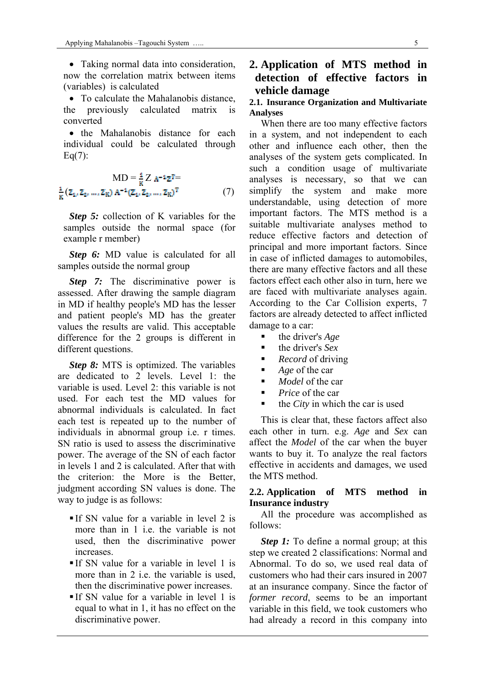Taking normal data into consideration, now the correlation matrix between items (variables) is calculated

• To calculate the Mahalanobis distance, the previously calculated matrix is converted

• the Mahalanobis distance for each individual could be calculated through  $Eq(7):$ 

$$
MD = \frac{1}{K} Z A^{-1} Z^T =
$$
  

$$
\frac{1}{K} (\bar{z}_1, \bar{z}_2, ..., \bar{z}_K) A^{-1} (\bar{z}_1, \bar{z}_2, ..., \bar{z}_K)^T
$$
(7)

*Step 5:* collection of K variables for the samples outside the normal space (for example r member)

*Step 6:* MD value is calculated for all samples outside the normal group

**Step 7:** The discriminative power is assessed. After drawing the sample diagram in MD if healthy people's MD has the lesser and patient people's MD has the greater values the results are valid. This acceptable difference for the 2 groups is different in different questions.

*Step 8:* MTS is optimized. The variables are dedicated to 2 levels. Level 1: the variable is used. Level 2: this variable is not used. For each test the MD values for abnormal individuals is calculated. In fact each test is repeated up to the number of individuals in abnormal group i.e. r times. SN ratio is used to assess the discriminative power. The average of the SN of each factor in levels 1 and 2 is calculated. After that with the criterion the More is the Better judgment according SN values is done. The way to judge is as follows:

- If SN value for a variable in level 2 is more than in 1 i.e. the variable is not used, then the discriminative power increases.
- $\blacksquare$  If SN value for a variable in level 1 is more than in 2 i.e. the variable is used, then the discriminative power increases.
- If SN value for a variable in level 1 is equal to what in 1, it has no effect on the discriminative power.

# **2. Application of MTS method in detection of effective factors in vehicle damage**

### **2.1. Insurance Organization and Multivariate Analyses**

When there are too many effective factors in a system, and not independent to each other and influence each other, then the analyses of the system gets complicated. In such a condition usage of multivariate analyses is necessary, so that we can simplify the system and make more understandable, using detection of more important factors. The MTS method is a suitable multivariate analyses method to reduce effective factors and detection of principal and more important factors. Since in case of inflicted damages to automobiles, there are many effective factors and all these factors effect each other also in turn, here we are faced with multivariate analyses again. According to the Car Collision experts, 7 factors are already detected to affect inflicted damage to a car:

- the driver's *Age*
- the driver's *Sex*
- *Record* of driving
- *Age* of the car
- *Model* of the car
- *Price* of the car
- the *City* in which the car is used

This is clear that, these factors affect also each other in turn. e.g. *Age* and *Sex* can affect the *Model* of the car when the buyer wants to buy it. To analyze the real factors effective in accidents and damages, we used the MTS method.

### **2.2. Application of MTS method in Insurance industry**

All the procedure was accomplished as follows:

*Step 1:* To define a normal group; at this step we created 2 classifications: Normal and Abnormal. To do so, we used real data of customers who had their cars insured in 2007 at an insurance company. Since the factor of *former record*, seems to be an important variable in this field, we took customers who had already a record in this company into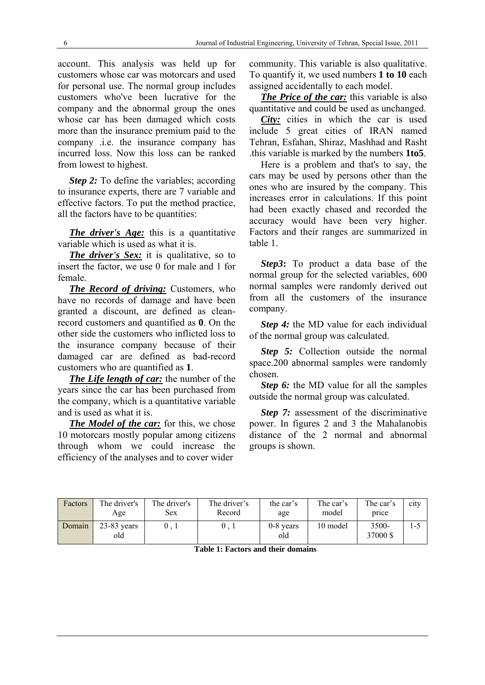account. This analysis was held up for customers whose car was motorcars and used for personal use. The normal group includes customers who've been lucrative for the company and the abnormal group the ones whose car has been damaged which costs more than the insurance premium paid to the company .i.e. the insurance company has incurred loss. Now this loss can be ranked from lowest to highest.

*Step 2:* To define the variables; according to insurance experts, there are 7 variable and effective factors. To put the method practice, all the factors have to be quantities:

*The driver's Age:* this is a quantitative variable which is used as what it is.

*The driver's Sex:* it is qualitative, so to insert the factor, we use 0 for male and 1 for female.

*The Record of driving:* Customers, who have no records of damage and have been granted a discount, are defined as cleanrecord customers and quantified as **0**. On the other side the customers who inflicted loss to the insurance company because of their damaged car are defined as bad-record customers who are quantified as **1**.

*The Life length of car:* the number of the years since the car has been purchased from the company, which is a quantitative variable and is used as what it is.

*The Model of the car:* for this, we chose 10 motorcars mostly popular among citizens through whom we could increase the efficiency of the analyses and to cover wider

community. This variable is also qualitative. To quantify it, we used numbers **1 to 10** each assigned accidentally to each model.

*The Price of the car:* this variable is also quantitative and could be used as unchanged.

*City:* cities in which the car is used include 5 great cities of IRAN named Tehran, Esfahan, Shiraz, Mashhad and Rasht .this variable is marked by the numbers **1to5**.

Here is a problem and that's to say, the cars may be used by persons other than the ones who are insured by the company. This increases error in calculations. If this point had been exactly chased and recorded the accuracy would have been very higher. Factors and their ranges are summarized in table 1.

*Step3***:** To product a data base of the normal group for the selected variables, 600 normal samples were randomly derived out from all the customers of the insurance company.

*Step 4:* the MD value for each individual of the normal group was calculated.

*Step 5:* Collection outside the normal space.200 abnormal samples were randomly chosen.

*Step 6:* the MD value for all the samples outside the normal group was calculated.

*Step 7:* assessment of the discriminative power. In figures 2 and 3 the Mahalanobis distance of the 2 normal and abnormal groups is shown.

| Factors | The driver's<br>Age  | The driver's<br><b>Sex</b> | The driver's<br>Record | the car's<br>age   | The car's<br>model | The car's<br>price | city |
|---------|----------------------|----------------------------|------------------------|--------------------|--------------------|--------------------|------|
| Domain  | $23-83$ years<br>old |                            | 0,1                    | $0-8$ years<br>old | 10 model           | 3500-<br>37000 \$  | 1-3  |

**Table 1: Factors and their domains** 

#### 6 Journal of Industrial Engineering, University of Tehran, Special Issue, 2011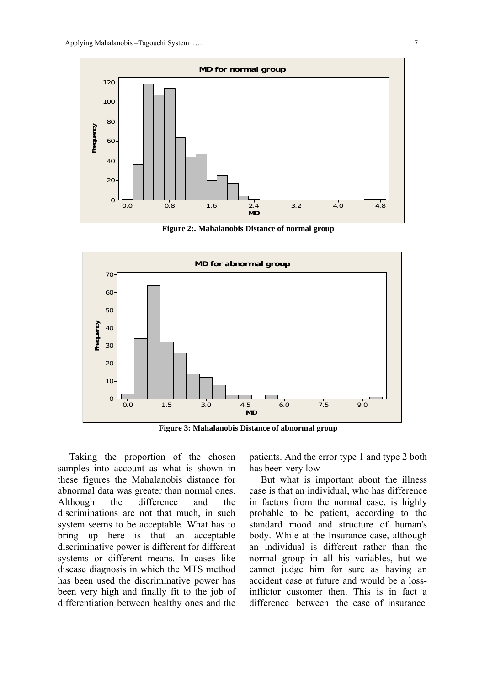

**Figure 2:. Mahalanobis Distance of normal group** 



**Figure 3: Mahalanobis Distance of abnormal group** 

Taking the proportion of the chosen samples into account as what is shown in these figures the Mahalanobis distance for abnormal data was greater than normal ones. Although the difference and the discriminations are not that much, in such system seems to be acceptable. What has to bring up here is that an acceptable discriminative power is different for different systems or different means. In cases like disease diagnosis in which the MTS method has been used the discriminative power has been very high and finally fit to the job of differentiation between healthy ones and the

patients. And the error type 1 and type 2 both has been very low

But what is important about the illness case is that an individual, who has difference in factors from the normal case, is highly probable to be patient, according to the standard mood and structure of human's body. While at the Insurance case, although an individual is different rather than the normal group in all his variables, but we cannot judge him for sure as having an accident case at future and would be a lossinflictor customer then. This is in fact a difference between the case of insurance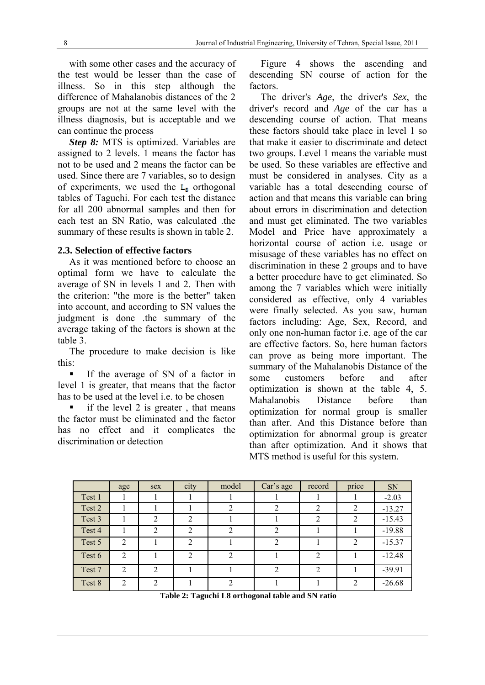with some other cases and the accuracy of the test would be lesser than the case of illness. So in this step although the difference of Mahalanobis distances of the 2 groups are not at the same level with the illness diagnosis, but is acceptable and we can continue the process

*Step 8:* MTS is optimized. Variables are assigned to 2 levels. 1 means the factor has not to be used and 2 means the factor can be used. Since there are 7 variables, so to design of experiments, we used the  $L_{\text{B}}$  orthogonal tables of Taguchi. For each test the distance for all 200 abnormal samples and then for each test an SN Ratio, was calculated .the summary of these results is shown in table 2.

## **2.3. Selection of effective factors**

As it was mentioned before to choose an optimal form we have to calculate the average of SN in levels 1 and 2. Then with the criterion: "the more is the better" taken into account, and according to SN values the judgment is done .the summary of the average taking of the factors is shown at the table 3.

The procedure to make decision is like this:

 If the average of SN of a factor in level 1 is greater, that means that the factor has to be used at the level i.e. to be chosen

 if the level 2 is greater , that means the factor must be eliminated and the factor has no effect and it complicates the discrimination or detection

Figure 4 shows the ascending and descending SN course of action for the factors.

The driver's *Age*, the driver's *Sex*, the driver's record and *Age* of the car has a descending course of action. That means these factors should take place in level 1 so that make it easier to discriminate and detect two groups. Level 1 means the variable must be used. So these variables are effective and must be considered in analyses. City as a variable has a total descending course of action and that means this variable can bring about errors in discrimination and detection and must get eliminated. The two variables Model and Price have approximately a horizontal course of action i.e. usage or misusage of these variables has no effect on discrimination in these 2 groups and to have a better procedure have to get eliminated. So among the 7 variables which were initially considered as effective, only 4 variables were finally selected. As you saw, human factors including: Age, Sex, Record, and only one non-human factor i.e. age of the car are effective factors. So, here human factors can prove as being more important. The summary of the Mahalanobis Distance of the some customers before and after optimization is shown at the table 4, 5 Mahalanobis Distance before than optimization for normal group is smaller than after. And this Distance before than optimization for abnormal group is greater than after optimization. And it shows that MTS method is useful for this system.

|        | age            | sex            | city | model          | Car's age      | record         | price          | SN       |
|--------|----------------|----------------|------|----------------|----------------|----------------|----------------|----------|
| Test 1 |                |                |      |                |                |                |                | $-2.03$  |
| Test 2 |                |                |      |                |                | 2              | 2              | $-13.27$ |
| Test 3 |                | $\overline{2}$ | 2    |                |                | $\overline{2}$ | 2              | $-15.43$ |
| Test 4 |                | 2              | 2    | $\mathfrak{D}$ | ↑              |                |                | $-19.88$ |
| Test 5 | $\overline{2}$ |                | 2    |                | $\mathfrak{D}$ |                | $\overline{2}$ | $-15.37$ |
| Test 6 | 2              |                | 2    | $\mathfrak{D}$ |                | 2              |                | $-12.48$ |
| Test 7 | $\mathfrak{D}$ | $\mathfrak{D}$ |      |                | $\mathcal{D}$  | 2              |                | $-39.91$ |
| Test 8 | $\overline{2}$ | $\mathfrak{D}$ |      | ↑              |                |                | 2              | $-26.68$ |

**Table 2: Taguchi L8 orthogonal table and SN ratio**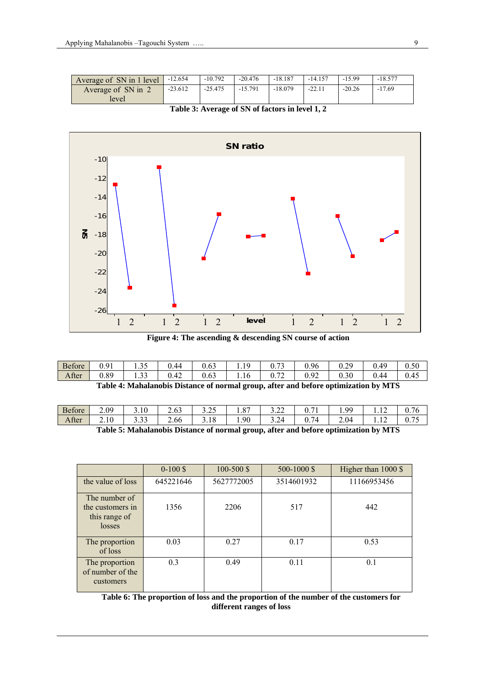| Average of SN in 1 level | $-12.654$ | $-10.792$ | $-20.476$ | $-18.187$ | $-14.157$ | $-15.99$ | $-18.577$ |
|--------------------------|-----------|-----------|-----------|-----------|-----------|----------|-----------|
| Average of SN in 2       | $-23.612$ | $-25.475$ | $-15.791$ | $-18.079$ | $-22.11$  | $-20.26$ | $-17.69$  |
| level                    |           |           |           |           |           |          |           |

**Table 3: Average of SN of factors in level 1, 2** 



**Figure 4: The ascending & descending SN course of action** 

| <b>Before</b> | በ 01<br>U.Y | $\sim$ $\sim$<br>.       | 0.44     | $\sim$<br>U.63     | 1 <sub>0</sub><br>. | $\sim$<br>v. /<br>ັ | 0.96                                | 0.29 | 140<br>∪.⊤.    | 0.50 |
|---------------|-------------|--------------------------|----------|--------------------|---------------------|---------------------|-------------------------------------|------|----------------|------|
| After         | 0.89        | $\sim$ $\sim$<br><i></i> | 42<br>v. | $\sqrt{2}$<br>U.63 | 1.16                | $\sim$<br>U.72      | $\Omega$<br>$\sim$<br>v. <i>y</i> 4 | 0.30 | 944<br>v. 1    | 0.45 |
|               | .           |                          | .        |                    |                     | . .                 |                                     |      | $\blacksquare$ |      |

| Table 4: Mahalanobis Distance of normal group, after and before optimization by MTS |  |  |
|-------------------------------------------------------------------------------------|--|--|
|-------------------------------------------------------------------------------------|--|--|

| <b>Before</b> | 2.09                          | 3.10         | $\sim$<br>∽<br>2.OJ | $\sim$ $\sim$<br>ں گے ۔ ب | $\Omega$<br>1.0 | $\sim$ $\sim$<br>ے . ۔ ب | $-1$<br>U.,               | QQ<br>. | $\sim$<br>.    | .76<br>◡. ៸              |
|---------------|-------------------------------|--------------|---------------------|---------------------------|-----------------|--------------------------|---------------------------|---------|----------------|--------------------------|
| After         | 2.10                          | 222<br>ر ر . | 2.66                | 1 O<br>3.10               | 1.90            | 324<br>ىم.               | $\sim$ $\sim$<br>4<br>0.7 | 2.04    | $\sim$<br>     | $\overline{a}$<br>v. 1 J |
|               | $\overline{\phantom{0}}$<br>. | --           | $\sim$<br>. .       |                           |                 | $\mathbf{r}$             | . .                       |         | $\blacksquare$ |                          |

**Table 5: Mahalanobis Distance of normal group, after and before optimization by MTS** 

|                                                              | $0-100S$  | $100 - 500$ \$ | 500-1000 \$ | Higher than 1000 \$ |
|--------------------------------------------------------------|-----------|----------------|-------------|---------------------|
| the value of loss                                            | 645221646 | 5627772005     | 3514601932  | 11166953456         |
| The number of<br>the customers in<br>this range of<br>losses | 1356      | 2206           | 517         | 442                 |
| The proportion<br>of loss                                    | 0.03      | 0.27           | 0.17        | 0.53                |
| The proportion<br>of number of the<br>customers              | 0.3       | 0.49           | 0.11        | 0.1                 |

**Table 6: The proportion of loss and the proportion of the number of the customers for different ranges of loss**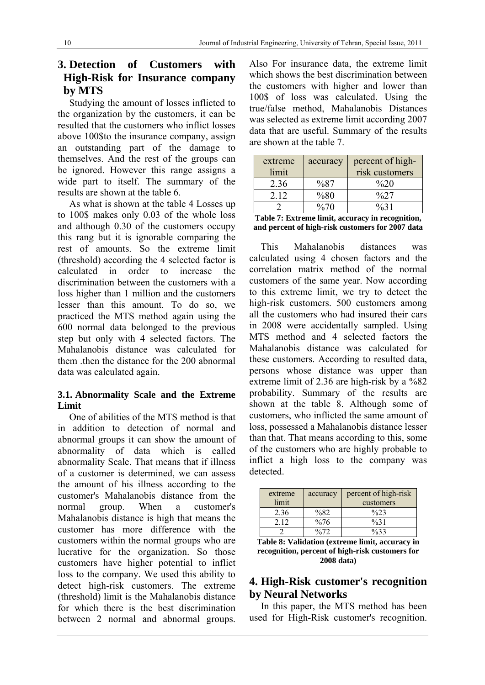# **3. Detection of Customers with High-Risk for Insurance company by MTS**

Studying the amount of losses inflicted to the organization by the customers, it can be resulted that the customers who inflict losses above 100\$to the insurance company, assign an outstanding part of the damage to themselves. And the rest of the groups can be ignored. However this range assigns a wide part to itself. The summary of the results are shown at the table 6.

As what is shown at the table 4 Losses up to 100\$ makes only 0.03 of the whole loss and although 0.30 of the customers occupy this rang but it is ignorable comparing the rest of amounts. So the extreme limit (threshold) according the 4 selected factor is calculated in order to increase the discrimination between the customers with a loss higher than 1 million and the customers lesser than this amount. To do so, we practiced the MTS method again using the 600 normal data belonged to the previous step but only with 4 selected factors. The Mahalanobis distance was calculated for them .then the distance for the 200 abnormal data was calculated again.

# **3.1. Abnormality Scale and the Extreme Limit**

One of abilities of the MTS method is that in addition to detection of normal and abnormal groups it can show the amount of abnormality of data which is called abnormality Scale. That means that if illness of a customer is determined, we can assess the amount of his illness according to the customer's Mahalanobis distance from the normal group. When a customer's Mahalanobis distance is high that means the customer has more difference with the customers within the normal groups who are lucrative for the organization. So those customers have higher potential to inflict loss to the company. We used this ability to detect high-risk customers. The extreme (threshold) limit is the Mahalanobis distance for which there is the best discrimination between 2 normal and abnormal groups.

Also For insurance data, the extreme limit which shows the best discrimination between the customers with higher and lower than 100\$ of loss was calculated. Using the true/false method, Mahalanobis Distances was selected as extreme limit according 2007 data that are useful. Summary of the results are shown at the table 7.

| extreme | accuracy | percent of high-  |
|---------|----------|-------------------|
| limit   |          | risk customers    |
| 2.36    | %87      | $\%20$            |
| 2.12    | %80      | $\frac{0}{0}$ 2.7 |
|         | $\%70$   | $\frac{9}{6}$ 1   |

| Table 7: Extreme limit, accuracy in recognition, |
|--------------------------------------------------|
| and percent of high-risk customers for 2007 data |

This Mahalanobis distances was calculated using 4 chosen factors and the correlation matrix method of the normal customers of the same year. Now according to this extreme limit, we try to detect the high-risk customers. 500 customers among all the customers who had insured their cars in 2008 were accidentally sampled. Using MTS method and 4 selected factors the Mahalanobis distance was calculated for these customers. According to resulted data, persons whose distance was upper than extreme limit of 2.36 are high-risk by a %82 probability. Summary of the results are shown at the table 8. Although some of customers, who inflicted the same amount of loss, possessed a Mahalanobis distance lesser than that. That means according to this, some of the customers who are highly probable to inflict a high loss to the company was detected.

| extreme<br>limit | accuracy         | percent of high-risk<br>customers |
|------------------|------------------|-----------------------------------|
| 2.36             | %82              | $\frac{0}{2}$                     |
| 2.12             | $\%76$           | $\%31$                            |
|                  | $\frac{0}{0}$ 72 | 0/33                              |

**Table 8: Validation (extreme limit, accuracy in recognition, percent of high-risk customers for 2008 data)** 

# **4. High-Risk customer's recognition by Neural Networks**

In this paper, the MTS method has been used for High-Risk customer's recognition.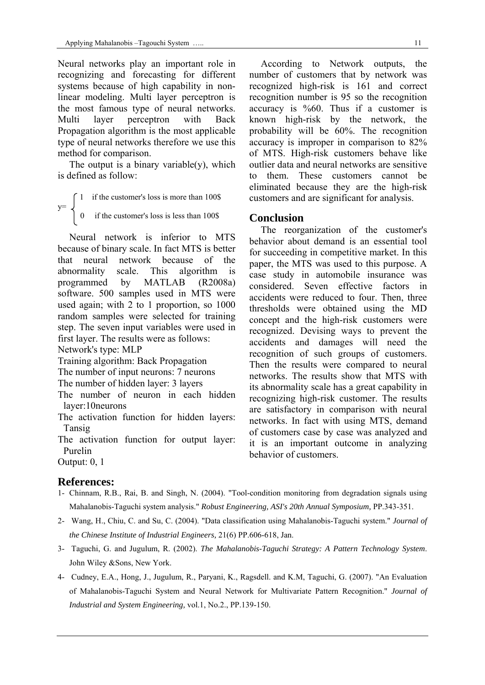Neural networks play an important role in recognizing and forecasting for different systems because of high capability in nonlinear modeling. Multi layer perceptron is the most famous type of neural networks. Multi layer perceptron with Back Propagation algorithm is the most applicable type of neural networks therefore we use this method for comparison.

The output is a binary variable $(y)$ , which is defined as follow:

 $\int 1$  if the customer's loss is more than 100\$  $y=$ 0 if the customer's loss is less than 100\$

Neural network is inferior to MTS because of binary scale. In fact MTS is better that neural network because of the abnormality scale. This algorithm is programmed by MATLAB (R2008a) software. 500 samples used in MTS were used again; with 2 to 1 proportion, so 1000 random samples were selected for training step. The seven input variables were used in first layer. The results were as follows:

Network's type: MLP

Training algorithm: Back Propagation

The number of input neurons: 7 neurons

The number of hidden layer: 3 layers

- The number of neuron in each hidden layer:10neurons
- The activation function for hidden layers: Tansig
- The activation function for output layer: Purelin

According to Network outputs, the number of customers that by network was recognized high-risk is 161 and correct recognition number is 95 so the recognition accuracy is %60. Thus if a customer is known high-risk by the network, the probability will be 60%. The recognition accuracy is improper in comparison to 82% of MTS. High-risk customers behave like outlier data and neural networks are sensitive to them. These customers cannot be eliminated because they are the high-risk customers and are significant for analysis.

## **Conclusion**

The reorganization of the customer's behavior about demand is an essential tool for succeeding in competitive market. In this paper, the MTS was used to this purpose. A case study in automobile insurance was considered. Seven effective factors in accidents were reduced to four. Then, three thresholds were obtained using the MD concept and the high-risk customers were recognized. Devising ways to prevent the accidents and damages will need the recognition of such groups of customers. Then the results were compared to neural networks. The results show that MTS with its abnormality scale has a great capability in recognizing high-risk customer. The results are satisfactory in comparison with neural networks. In fact with using MTS, demand of customers case by case was analyzed and it is an important outcome in analyzing behavior of customers.

Output: 0, 1

# **References:**

- 1- Chinnam, R.B., Rai, B. and Singh, N. (2004). "Tool-condition monitoring from degradation signals using Mahalanobis-Taguchi system analysis." *Robust Engineering, ASI's 20th Annual Symposium,* PP.343-351.
- 2- Wang, H., Chiu, C. and Su, C. (2004). "Data classification using Mahalanobis-Taguchi system." *Journal of the Chinese Institute of Industrial Engineers,* 21(6) PP.606-618, Jan.
- 3- Taguchi, G. and Jugulum, R. (2002). *The Mahalanobis-Taguchi Strategy: A Pattern Technology System*. John Wiley &Sons, New York.
- 4- Cudney, E.A., Hong, J., Jugulum, R., Paryani, K., Ragsdell. and K.M, Taguchi, G. (2007). "An Evaluation of Mahalanobis-Taguchi System and Neural Network for Multivariate Pattern Recognition." *Journal of Industrial and System Engineering,* vol.1, No.2., PP.139-150.